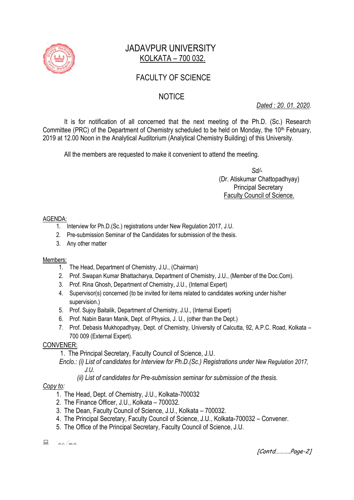

## JADAVPUR UNIVERSITY KOLKATA – 700 032.

# FACULTY OF SCIENCE

## **NOTICE**

*Dated : 20. 01. 2020.*

It is for notification of all concerned that the next meeting of the Ph.D. (Sc.) Research Committee (PRC) of the Department of Chemistry scheduled to be held on Monday, the 10<sup>th</sup> February, 2019 at 12.00 Noon in the Analytical Auditorium (Analytical Chemistry Building) of this University.

All the members are requested to make it convenient to attend the meeting.

 *Sd/-*  (Dr. Atiskumar Chattopadhyay) Principal Secretary Faculty Council of Science.

#### AGENDA:

- 1. Interview for Ph.D.(Sc.) registrations under New Regulation 2017, J.U.
- 2. Pre-submission Seminar of the Candidates for submission of the thesis.
- 3. Any other matter

#### Members:

- 1. The Head, Department of Chemistry, J.U., (Chairman)
- 2. Prof. Swapan Kumar Bhattacharya, Department of Chemistry, J.U., (Member of the Doc.Com).
- 3. Prof. Rina Ghosh, Department of Chemistry, J.U., (Internal Expert)
- 4. Supervisor(s) concerned (to be invited for items related to candidates working under his/her supervision.)
- 5. Prof. Sujoy Baitalik, Department of Chemistry, J.U., (Internal Expert)
- 6. Prof. Nabin Baran Manik, Dept. of Physics, J. U., (other than the Dept.)
- 7. Prof. Debasis Mukhopadhyay, Dept. of Chemistry, University of Calcutta, 92, A.P.C. Road, Kolkata 700 009 (External Expert).

#### CONVENER:

1. The Principal Secretary, Faculty Council of Science, J.U.

 *Enclo.: (i) List of candidates for Interview for Ph.D.(Sc.) Registrations under New Regulation 2017, J.U.*

 *(ii) List of candidates for Pre-submission seminar for submission of the thesis.*

#### *Copy to:*

- 1. The Head, Dept. of Chemistry, J.U., Kolkata-700032
- 2. The Finance Officer, J.U., Kolkata 700032.
- 3. The Dean, Faculty Council of Science, J.U., Kolkata 700032.
- 4. The Principal Secretary, Faculty Council of Science, J.U., Kolkata-700032 Convener.
- 5. The Office of the Principal Secretary, Faculty Council of Science, J.U.

 $\Box$  a.e. /m.a.

[Contd………..Page-2]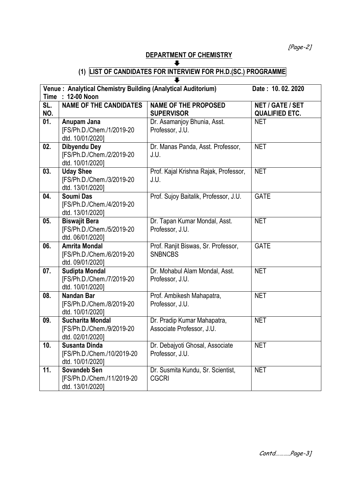[Page-2]

## **DEPARTMENT OF CHEMISTRY**

### **(1) LIST OF CANDIDATES FOR INTERVIEW FOR PH.D.(SC.) PROGRAMME**

 $\ddot{\phantom{1}}$ 

 $\ddagger$ 

| Venue: Analytical Chemistry Building (Analytical Auditorium) |                                                                          |                                                          | Date: 10.02.2020                                 |  |  |  |  |
|--------------------------------------------------------------|--------------------------------------------------------------------------|----------------------------------------------------------|--------------------------------------------------|--|--|--|--|
|                                                              | Time : 12-00 Noon                                                        |                                                          |                                                  |  |  |  |  |
| SL.<br>NO.                                                   | <b>NAME OF THE CANDIDATES</b>                                            | <b>NAME OF THE PROPOSED</b><br><b>SUPERVISOR</b>         | <b>NET / GATE / SET</b><br><b>QUALIFIED ETC.</b> |  |  |  |  |
| $\overline{01}$ .                                            | Anupam Jana<br>[FS/Ph.D./Chem./1/2019-20<br>dtd. 10/01/2020]             | Dr. Asamanjoy Bhunia, Asst.<br>Professor, J.U.           | <b>NET</b>                                       |  |  |  |  |
| 02.                                                          | Dibyendu Dey<br>[FS/Ph.D./Chem./2/2019-20<br>dtd. 10/01/2020]            | Dr. Manas Panda, Asst. Professor,<br>J.U.                | <b>NET</b>                                       |  |  |  |  |
| 03.                                                          | <b>Uday Shee</b><br>[FS/Ph.D./Chem./3/2019-20<br>dtd. 13/01/2020]        | Prof. Kajal Krishna Rajak, Professor,<br>J.U.            | <b>NET</b>                                       |  |  |  |  |
| 04.                                                          | Soumi Das<br>[FS/Ph.D./Chem./4/2019-20<br>dtd. 13/01/2020]               | Prof. Sujoy Baitalik, Professor, J.U.                    | <b>GATE</b>                                      |  |  |  |  |
| 05.                                                          | <b>Biswajit Bera</b><br>[FS/Ph.D./Chem./5/2019-20<br>dtd. 06/01/2020]    | Dr. Tapan Kumar Mondal, Asst.<br>Professor, J.U.         | <b>NET</b>                                       |  |  |  |  |
| 06.                                                          | <b>Amrita Mondal</b><br>[FS/Ph.D./Chem./6/2019-20<br>dtd. 09/01/2020]    | Prof. Ranjit Biswas, Sr. Professor,<br><b>SNBNCBS</b>    | <b>GATE</b>                                      |  |  |  |  |
| 07.                                                          | <b>Sudipta Mondal</b><br>[FS/Ph.D./Chem./7/2019-20<br>dtd. 10/01/2020]   | Dr. Mohabul Alam Mondal, Asst.<br>Professor, J.U.        | <b>NET</b>                                       |  |  |  |  |
| 08.                                                          | Nandan Bar<br>[FS/Ph.D./Chem./8/2019-20<br>dtd. 10/01/2020]              | Prof. Ambikesh Mahapatra,<br>Professor, J.U.             | <b>NET</b>                                       |  |  |  |  |
| 09.                                                          | <b>Sucharita Mondal</b><br>[FS/Ph.D./Chem./9/2019-20<br>dtd. 02/01/2020] | Dr. Pradip Kumar Mahapatra,<br>Associate Professor, J.U. | <b>NET</b>                                       |  |  |  |  |
| 10.                                                          | Susanta Dinda<br>[FS/Ph.D./Chem./10/2019-20<br>dtd. 10/01/2020]          | Dr. Debajyoti Ghosal, Associate<br>Professor, J.U.       | <b>NET</b>                                       |  |  |  |  |
| 11.                                                          | Sovandeb Sen<br>[FS/Ph.D./Chem./11/2019-20<br>dtd. 13/01/2020]           | Dr. Susmita Kundu, Sr. Scientist,<br><b>CGCRI</b>        | <b>NET</b>                                       |  |  |  |  |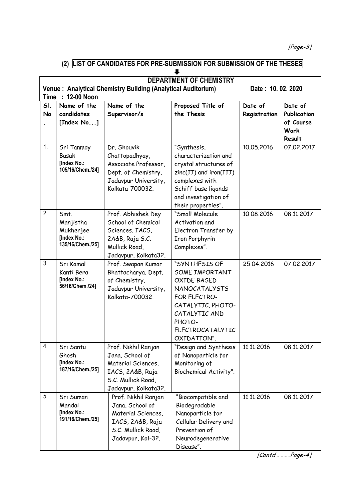[Page-3]

| LIST OF CANDIDATES FOR FRE-SUDIMISSION FOR SUDIMISSION OF THE THESES                                                                                   |                                                                   |                                                                                                                                |                                                                                                                                                                               |                         |                                                              |  |
|--------------------------------------------------------------------------------------------------------------------------------------------------------|-------------------------------------------------------------------|--------------------------------------------------------------------------------------------------------------------------------|-------------------------------------------------------------------------------------------------------------------------------------------------------------------------------|-------------------------|--------------------------------------------------------------|--|
| <b>DEPARTMENT OF CHEMISTRY</b><br>Venue: Analytical Chemistry Building (Analytical Auditorium)<br>Date: 10.02.2020<br><b>12-00 Noon</b><br><b>Time</b> |                                                                   |                                                                                                                                |                                                                                                                                                                               |                         |                                                              |  |
| SI.<br><b>No</b>                                                                                                                                       | Name of the<br>candidates<br>[Index No]                           | Name of the<br>Supervisor/s                                                                                                    | Proposed Title of<br>the Thesis                                                                                                                                               | Date of<br>Registration | Date of<br>Publication<br>of Course<br><b>Work</b><br>Result |  |
| $\mathbf{1}$ .                                                                                                                                         | Sri Tanmoy<br><b>Basak</b><br>[Index No.:<br>105/16/Chem./24]     | Dr. Shouvik<br>Chattopadhyay,<br>Associate Professor,<br>Dept. of Chemistry,<br>Jadavpur University,<br>Kolkata-700032.        | "Synthesis,<br>characterization and<br>crystal structures of<br>zinc(II) and iron(III)<br>complexes with<br>Schiff base ligands<br>and investigation of<br>their properties". | 10.05.2016              | 07.02.2017                                                   |  |
| 2.                                                                                                                                                     | Smt.<br>Manjistha<br>Mukherjee<br>[Index No.:<br>135/16/Chem./25] | Prof. Abhishek Dey<br>School of Chemical<br>Sciences, IACS,<br>2A&B, Raja S.C.<br>Mullick Road,<br>Jadavpur, Kolkata32.        | "Small Molecule<br>Activation and<br>Electron Transfer by<br><b>Iron Porphyrin</b><br>Complexes".                                                                             | 10.08.2016              | 08.11.2017                                                   |  |
| 3.                                                                                                                                                     | Sri Kamal<br>Kanti Bera<br>[Index No.:<br>56/16/Chem./24]         | Prof. Swapan Kumar<br>Bhattacharya, Dept.<br>of Chemistry,<br>Jadavpur University,<br>Kolkata-700032.                          | "SYNTHESIS OF<br>SOME IMPORTANT<br><b>OXIDE BASED</b><br>NANOCATALYSTS<br>FOR ELECTRO-<br>CATALYTIC, PHOTO-<br>CATALYTIC AND<br>PHOTO-<br>ELECTROCATALYTIC<br>OXIDATION".     | 25.04.2016              | 07.02.2017                                                   |  |
| 4.                                                                                                                                                     | Sri Santu<br>Ghosh<br>[Index No.:<br>187/16/Chem./25]             | Prof. Nikhil Ranjan<br>Jana, School of<br>Material Sciences,<br>IACS, 2A&B, Raja<br>S.C. Mullick Road,<br>Jadavpur, Kolkata32. | "Design and Synthesis<br>of Nanoparticle for<br>Monitoring of<br>Biochemical Activity".                                                                                       | 11.11.2016              | 08.11.2017                                                   |  |
| 5.                                                                                                                                                     | Sri Suman<br>Mandal<br>[Index No.:<br>191/16/Chem./25]            | Prof. Nikhil Ranjan<br>Jana, School of<br>Material Sciences,<br>IACS, 2A&B, Raja<br>S.C. Mullick Road,<br>Jadavpur, Kol-32.    | "Biocompatible and<br>Biodegradable<br>Nanoparticle for<br>Cellular Delivery and<br>Prevention of<br>Neurodegenerative<br>Disease".                                           | 11.11.2016              | 08.11.2017                                                   |  |

# **(2) LIST OF CANDIDATES FOR PRE-SUBMISSION FOR SUBMISSION OF THE THESES**

[Contd………..Page-4]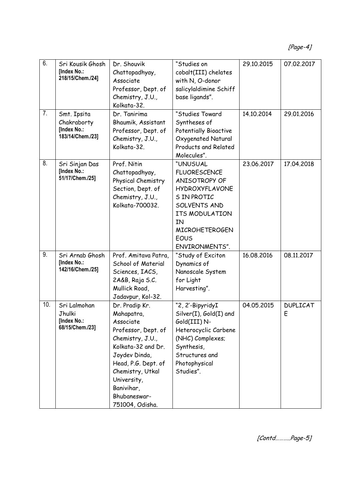| 6.<br>7. | Sri Kousik Ghosh<br>[Index No.:<br>218/15/Chem./24]           | Dr. Shouvik<br>Chattopadhyay,<br>Associate<br>Professor, Dept. of<br>Chemistry, J.U.,<br>Kolkata-32.                                                                                                                                   | "Studies on<br>cobalt(III) chelates<br>with N, O-donor<br>salicylaldimine Schiff<br>base ligands".                                                                                         | 29.10.2015 | 07.02.2017           |
|----------|---------------------------------------------------------------|----------------------------------------------------------------------------------------------------------------------------------------------------------------------------------------------------------------------------------------|--------------------------------------------------------------------------------------------------------------------------------------------------------------------------------------------|------------|----------------------|
|          | Smt. Ipsita<br>Chakraborty<br>[Index No.:<br>183/14/Chem./23] | Dr. Tanirima<br>Bhaumik, Assistant<br>Professor, Dept. of<br>Chemistry, J.U.,<br>Kolkata-32.                                                                                                                                           | "Studies Toward<br>Syntheses of<br>Potentially Bioactive<br>Oxygenated Natural<br>Products and Related<br>Molecules".                                                                      | 14.10.2014 | 29.01.2016           |
| 8.       | Sri Sinjan Das<br>[Index No.:<br>51/17/Chem./25]              | Prof. Nitin<br>Chattopadhyay,<br>Physical Chemistry<br>Section, Dept. of<br>Chemistry, J.U.,<br>Kolkata-700032.                                                                                                                        | "UNUSUAL<br><b>FLUORESCENCE</b><br>ANISOTROPY OF<br><b>HYDROXYFLAVONE</b><br>S IN PROTIC<br>SOLVENTS AND<br>ITS MODULATION<br>IN<br><b>MICROHETEROGEN</b><br><b>EOUS</b><br>ENVIRONMENTS". | 23.06.2017 | 17.04.2018           |
| 9.       | Sri Arnab Ghosh<br>[Index No.:<br>142/16/Chem./25]            | Prof. Amitava Patra,<br>School of Material<br>Sciences, IACS,<br>2A&B, Raja S.C.<br>Mullick Road,<br>Jadavpur, Kol-32.                                                                                                                 | "Study of Exciton<br>Dynamics of<br>Nanoscale System<br>for Light<br>Harvesting".                                                                                                          | 16.08.2016 | 08.11.2017           |
| 10.      | Sri Lalmohan<br>Jhulki<br>[Index No.:<br>68/15/Chem./23]      | Dr. Pradip Kr.<br>Mahapatra,<br>Associate<br>Professor, Dept. of<br>Chemistry, J.U.,<br>Kolkata-32 and Dr.<br>Joydev Dinda,<br>Head, P.G. Dept. of<br>Chemistry, Utkal<br>University,<br>Banivihar,<br>Bhubaneswar-<br>751004, Odisha. | "2, 2'-BipyridyI<br>Silver(I), Gold(I) and<br>Gold(III) N-<br>Heterocyclic Carbene<br>(NHC) Complexes;<br>Synthesis,<br>Structures and<br>Photophysical<br>Studies".                       | 04.05.2015 | <b>DUPLICAT</b><br>E |

[Contd………..Page-5]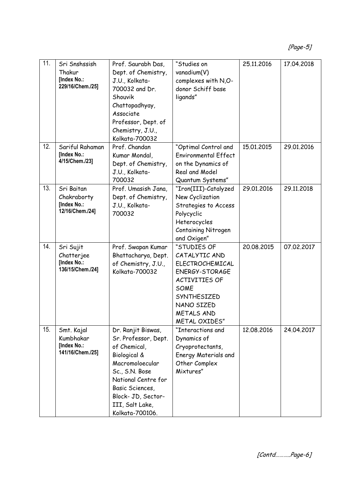| 11. | Sri Snshssish<br>Thakur<br>[Index No.:<br>229/16/Chem./25]  | Prof. Saurabh Das,<br>Dept. of Chemistry,<br>J.U., Kolkata-<br>700032 and Dr.<br>Shouvik<br>Chattopadhyay,<br>Associate<br>Professor, Dept. of<br>Chemistry, J.U.,<br>Kolkata-700032                                            | "Studies on<br>vanadium(V)<br>complexes with N,O-<br>donor Schiff base<br>ligands"                                                                                                 | 25.11.2016 | 17.04.2018 |
|-----|-------------------------------------------------------------|---------------------------------------------------------------------------------------------------------------------------------------------------------------------------------------------------------------------------------|------------------------------------------------------------------------------------------------------------------------------------------------------------------------------------|------------|------------|
| 12. | Sariful Rahaman<br>[Index No.:<br>4/15/Chem./23]            | Prof. Chandan<br>Kumar Mondal,<br>Dept. of Chemistry,<br>J.U., Kolkata-<br>700032                                                                                                                                               | "Optimal Control and<br><b>Environmental Effect</b><br>on the Dynamics of<br>Real and Model<br>Quantum Systems"                                                                    | 15.01.2015 | 29.01.2016 |
| 13. | Sri Baitan<br>Chakraborty<br>[Index No.:<br>12/16/Chem./24] | Prof. Umasish Jana,<br>Dept. of Chemistry,<br>J.U., Kolkata-<br>700032                                                                                                                                                          | "Iron(III)-Catalyzed<br>New Cyclization<br>Strategies to Access<br>Polycyclic<br>Heterocycles<br><b>Containing Nitrogen</b><br>and Oxigen"                                         | 29.01.2016 | 29.11.2018 |
| 14. | Sri Sujit<br>Chatterjee<br>[Index No.:<br>136/15/Chem./24]  | Prof. Swapan Kumar<br>Bhattacharya, Dept.<br>of Chemistry, J.U.,<br>Kolkata-700032                                                                                                                                              | "STUDIES OF<br>CATALYTIC AND<br>ELECTROCHEMICAL<br>ENERGY-STORAGE<br><b>ACTIVITIES OF</b><br><b>SOME</b><br>SYNTHESIZED<br>NANO SIZED<br><b>METALS AND</b><br><b>METAL OXIDES"</b> | 20.08.2015 | 07.02.2017 |
| 15. | Smt. Kajal<br>Kumbhakar<br>[Index No.:<br>141/16/Chem./25]  | Dr. Ranjit Biswas,<br>Sr. Professor, Dept.<br>of Chemical.<br><b>Biological &amp;</b><br>Macromoloecular<br>Sc., S.N. Bose<br>National Centre for<br>Basic Sciences,<br>Block-JD, Sector-<br>III, Salt Lake,<br>Kolkata-700106. | "Interactions and<br>Dynamics of<br>Cryoprotectants,<br>Energy Materials and<br>Other Complex<br>Mixtures"                                                                         | 12.08.2016 | 24.04.2017 |